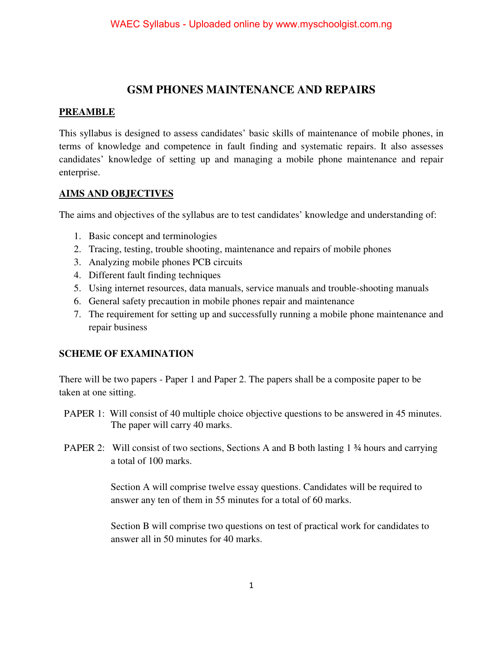## **GSM PHONES MAINTENANCE AND REPAIRS**

### **PREAMBLE**

This syllabus is designed to assess candidates' basic skills of maintenance of mobile phones, in terms of knowledge and competence in fault finding and systematic repairs. It also assesses candidates' knowledge of setting up and managing a mobile phone maintenance and repair enterprise.

#### **AIMS AND OBJECTIVES**

The aims and objectives of the syllabus are to test candidates' knowledge and understanding of:

- 1. Basic concept and terminologies
- 2. Tracing, testing, trouble shooting, maintenance and repairs of mobile phones
- 3. Analyzing mobile phones PCB circuits
- 4. Different fault finding techniques
- 5. Using internet resources, data manuals, service manuals and trouble-shooting manuals
- 6. General safety precaution in mobile phones repair and maintenance
- 7. The requirement for setting up and successfully running a mobile phone maintenance and repair business

#### **SCHEME OF EXAMINATION**

There will be two papers - Paper 1 and Paper 2. The papers shall be a composite paper to be taken at one sitting.

- PAPER 1: Will consist of 40 multiple choice objective questions to be answered in 45 minutes. The paper will carry 40 marks.
- PAPER 2: Will consist of two sections, Sections A and B both lasting 1  $\frac{3}{4}$  hours and carrying a total of 100 marks.

 Section A will comprise twelve essay questions. Candidates will be required to answer any ten of them in 55 minutes for a total of 60 marks.

Section B will comprise two questions on test of practical work for candidates to answer all in 50 minutes for 40 marks.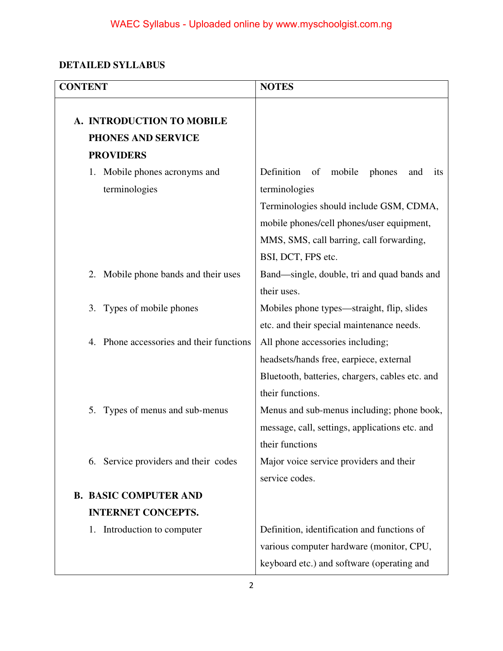# **DETAILED SYLLABUS**

| <b>CONTENT</b>                                                      | <b>NOTES</b>                                                                                                                                                                                                                  |  |  |
|---------------------------------------------------------------------|-------------------------------------------------------------------------------------------------------------------------------------------------------------------------------------------------------------------------------|--|--|
| A. INTRODUCTION TO MOBILE<br>PHONES AND SERVICE<br><b>PROVIDERS</b> |                                                                                                                                                                                                                               |  |  |
| 1. Mobile phones acronyms and<br>terminologies                      | Definition<br>mobile<br>of<br>phones<br>and<br>its<br>terminologies<br>Terminologies should include GSM, CDMA,<br>mobile phones/cell phones/user equipment,<br>MMS, SMS, call barring, call forwarding,<br>BSI, DCT, FPS etc. |  |  |
| Mobile phone bands and their uses<br>2.                             | Band—single, double, tri and quad bands and<br>their uses.                                                                                                                                                                    |  |  |
| Types of mobile phones<br>3.                                        | Mobiles phone types—straight, flip, slides<br>etc. and their special maintenance needs.                                                                                                                                       |  |  |
| 4. Phone accessories and their functions                            | All phone accessories including;<br>headsets/hands free, earpiece, external<br>Bluetooth, batteries, chargers, cables etc. and<br>their functions.                                                                            |  |  |
| Types of menus and sub-menus<br>5.                                  | Menus and sub-menus including; phone book,<br>message, call, settings, applications etc. and<br>their functions                                                                                                               |  |  |
| Service providers and their codes<br>6.                             | Major voice service providers and their<br>service codes.                                                                                                                                                                     |  |  |
| <b>B. BASIC COMPUTER AND</b>                                        |                                                                                                                                                                                                                               |  |  |
| <b>INTERNET CONCEPTS.</b>                                           |                                                                                                                                                                                                                               |  |  |
| Introduction to computer<br>1.                                      | Definition, identification and functions of<br>various computer hardware (monitor, CPU,<br>keyboard etc.) and software (operating and                                                                                         |  |  |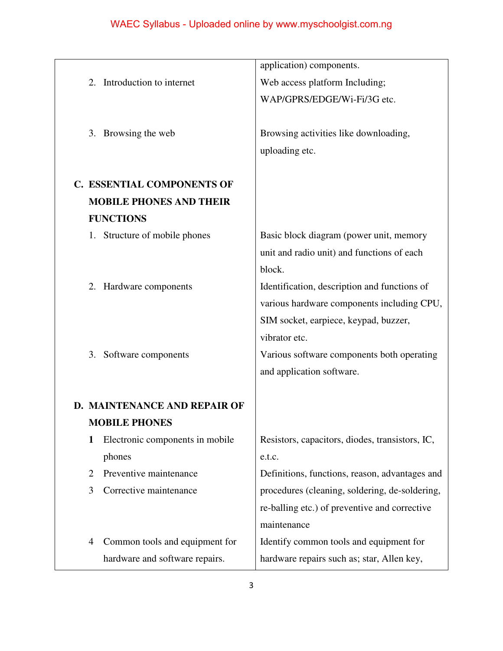|                                      | application) components.                        |  |
|--------------------------------------|-------------------------------------------------|--|
| Introduction to internet<br>2.       | Web access platform Including;                  |  |
|                                      | WAP/GPRS/EDGE/Wi-Fi/3G etc.                     |  |
|                                      |                                                 |  |
| Browsing the web<br>3.               | Browsing activities like downloading,           |  |
|                                      | uploading etc.                                  |  |
|                                      |                                                 |  |
| <b>C. ESSENTIAL COMPONENTS OF</b>    |                                                 |  |
| <b>MOBILE PHONES AND THEIR</b>       |                                                 |  |
| <b>FUNCTIONS</b>                     |                                                 |  |
| 1. Structure of mobile phones        | Basic block diagram (power unit, memory         |  |
|                                      | unit and radio unit) and functions of each      |  |
|                                      | block.                                          |  |
| Hardware components<br>2.            | Identification, description and functions of    |  |
|                                      | various hardware components including CPU,      |  |
|                                      | SIM socket, earpiece, keypad, buzzer,           |  |
|                                      | vibrator etc.                                   |  |
| Software components<br>3.            | Various software components both operating      |  |
|                                      | and application software.                       |  |
|                                      |                                                 |  |
| <b>D. MAINTENANCE AND REPAIR OF</b>  |                                                 |  |
| <b>MOBILE PHONES</b>                 |                                                 |  |
| Electronic components in mobile<br>1 | Resistors, capacitors, diodes, transistors, IC, |  |
| phones                               | e.t.c.                                          |  |
| Preventive maintenance<br>2          | Definitions, functions, reason, advantages and  |  |
| Corrective maintenance<br>3          | procedures (cleaning, soldering, de-soldering,  |  |
|                                      | re-balling etc.) of preventive and corrective   |  |
|                                      | maintenance                                     |  |
| Common tools and equipment for<br>4  | Identify common tools and equipment for         |  |
| hardware and software repairs.       | hardware repairs such as; star, Allen key,      |  |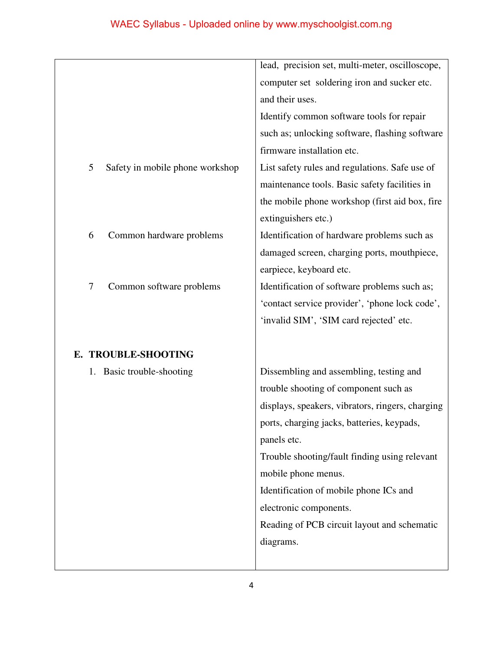|                                      | lead, precision set, multi-meter, oscilloscope,  |
|--------------------------------------|--------------------------------------------------|
|                                      | computer set soldering iron and sucker etc.      |
|                                      | and their uses.                                  |
|                                      | Identify common software tools for repair        |
|                                      | such as; unlocking software, flashing software   |
|                                      | firmware installation etc.                       |
| 5<br>Safety in mobile phone workshop | List safety rules and regulations. Safe use of   |
|                                      | maintenance tools. Basic safety facilities in    |
|                                      | the mobile phone workshop (first aid box, fire   |
|                                      | extinguishers etc.)                              |
| 6<br>Common hardware problems        | Identification of hardware problems such as      |
|                                      | damaged screen, charging ports, mouthpiece,      |
|                                      | earpiece, keyboard etc.                          |
| Common software problems<br>7        | Identification of software problems such as;     |
|                                      | 'contact service provider', 'phone lock code',   |
|                                      | 'invalid SIM', 'SIM card rejected' etc.          |
|                                      |                                                  |
| E. TROUBLE-SHOOTING                  |                                                  |
| Basic trouble-shooting<br>1.         | Dissembling and assembling, testing and          |
|                                      | trouble shooting of component such as            |
|                                      | displays, speakers, vibrators, ringers, charging |
|                                      | ports, charging jacks, batteries, keypads,       |
|                                      | panels etc.                                      |
|                                      | Trouble shooting/fault finding using relevant    |
|                                      | mobile phone menus.                              |
|                                      | Identification of mobile phone ICs and           |
|                                      | electronic components.                           |
|                                      | Reading of PCB circuit layout and schematic      |
|                                      | diagrams.                                        |
|                                      |                                                  |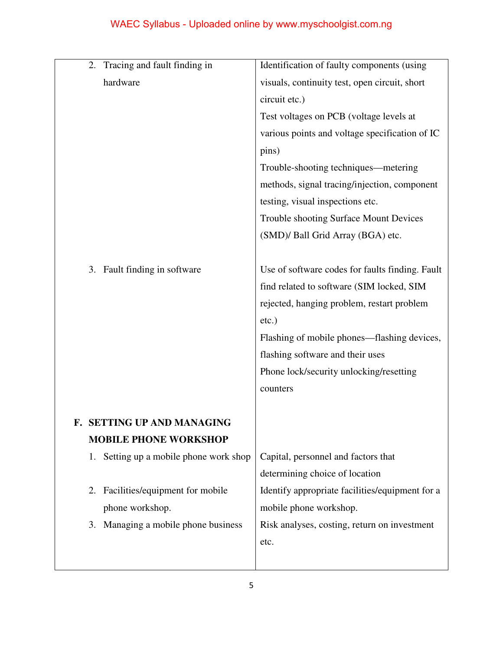| Tracing and fault finding in<br>2.        | Identification of faulty components (using      |  |
|-------------------------------------------|-------------------------------------------------|--|
| hardware                                  | visuals, continuity test, open circuit, short   |  |
|                                           | circuit etc.)                                   |  |
|                                           | Test voltages on PCB (voltage levels at         |  |
|                                           | various points and voltage specification of IC  |  |
|                                           | pins)                                           |  |
|                                           | Trouble-shooting techniques—metering            |  |
|                                           | methods, signal tracing/injection, component    |  |
|                                           | testing, visual inspections etc.                |  |
|                                           | <b>Trouble shooting Surface Mount Devices</b>   |  |
|                                           | (SMD)/ Ball Grid Array (BGA) etc.               |  |
|                                           |                                                 |  |
| Fault finding in software<br>3.           | Use of software codes for faults finding. Fault |  |
|                                           | find related to software (SIM locked, SIM       |  |
|                                           | rejected, hanging problem, restart problem      |  |
|                                           | $etc.$ )                                        |  |
|                                           | Flashing of mobile phones—flashing devices,     |  |
|                                           | flashing software and their uses                |  |
|                                           | Phone lock/security unlocking/resetting         |  |
|                                           | counters                                        |  |
|                                           |                                                 |  |
| F. SETTING UP AND MANAGING                |                                                 |  |
| <b>MOBILE PHONE WORKSHOP</b>              |                                                 |  |
| Setting up a mobile phone work shop<br>1. | Capital, personnel and factors that             |  |
|                                           | determining choice of location                  |  |
| Facilities/equipment for mobile<br>2.     | Identify appropriate facilities/equipment for a |  |
| phone workshop.                           | mobile phone workshop.                          |  |
| Managing a mobile phone business<br>3.    | Risk analyses, costing, return on investment    |  |
|                                           | etc.                                            |  |
|                                           |                                                 |  |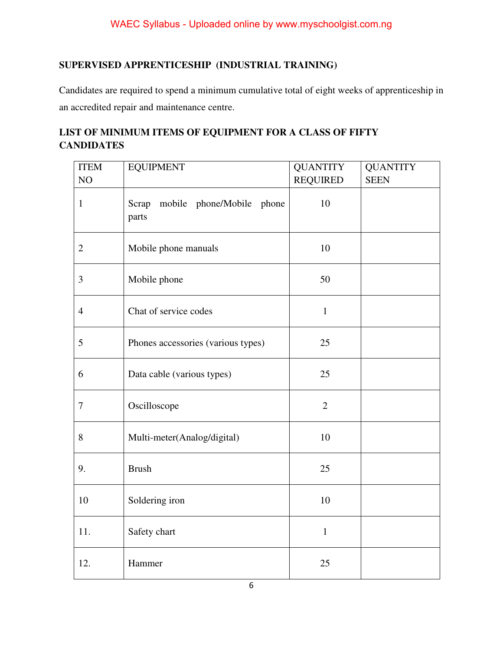### **SUPERVISED APPRENTICESHIP (INDUSTRIAL TRAINING)**

Candidates are required to spend a minimum cumulative total of eight weeks of apprenticeship in an accredited repair and maintenance centre.

### **LIST OF MINIMUM ITEMS OF EQUIPMENT FOR A CLASS OF FIFTY CANDIDATES**

| <b>ITEM</b>    | <b>EQUIPMENT</b>                            | <b>QUANTITY</b> | <b>QUANTITY</b> |
|----------------|---------------------------------------------|-----------------|-----------------|
| NO             |                                             | <b>REQUIRED</b> | <b>SEEN</b>     |
| $\mathbf{1}$   | Scrap<br>mobile phone/Mobile phone<br>parts | 10              |                 |
| $\mathbf{2}$   | Mobile phone manuals                        | 10              |                 |
| 3              | Mobile phone                                | 50              |                 |
| $\overline{4}$ | Chat of service codes                       | $\mathbf{1}$    |                 |
| $\mathfrak{S}$ | Phones accessories (various types)          | 25              |                 |
| 6              | Data cable (various types)                  | 25              |                 |
| $\tau$         | Oscilloscope                                | $\overline{2}$  |                 |
| 8              | Multi-meter(Analog/digital)                 | 10              |                 |
| 9.             | <b>Brush</b>                                | 25              |                 |
| 10             | Soldering iron                              | 10              |                 |
| 11.            | Safety chart                                | $\mathbf{1}$    |                 |
| 12.            | Hammer                                      | 25              |                 |